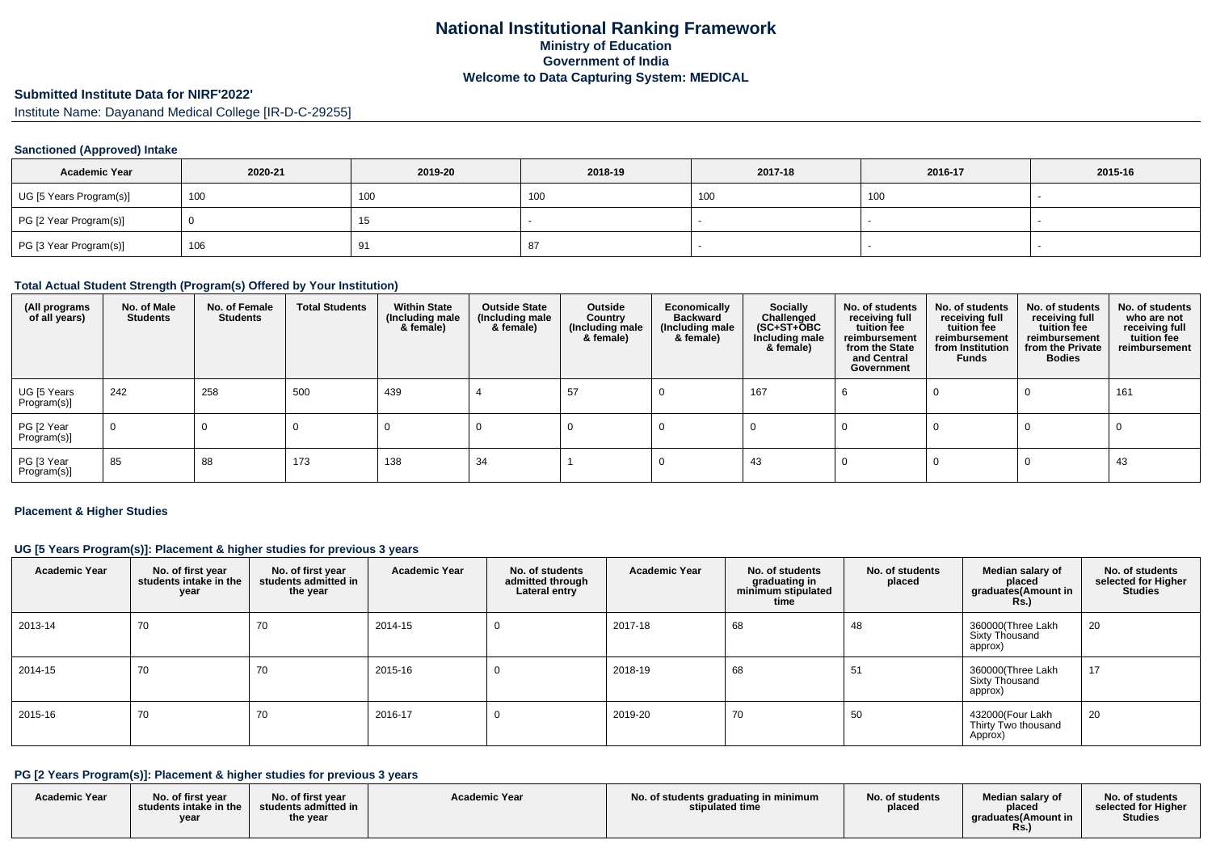# **Submitted Institute Data for NIRF'2022'**

Institute Name: Dayanand Medical College [IR-D-C-29255]

### **Sanctioned (Approved) Intake**

| <b>Academic Year</b>    | 2020-21 | 2019-20 | 2018-19 | 2017-18 | 2016-17 | 2015-16 |
|-------------------------|---------|---------|---------|---------|---------|---------|
| UG [5 Years Program(s)] | 100     | 100     | טט ו    | 100     | 100     |         |
| PG [2 Year Program(s)]  |         | ี       |         |         |         |         |
| PG [3 Year Program(s)]  | 106     |         | 87      |         |         |         |

### **Total Actual Student Strength (Program(s) Offered by Your Institution)**

| (All programs<br>of all years) | No. of Male<br><b>Students</b> | No. of Female<br>Students | <b>Total Students</b> | <b>Within State</b><br>(Including male<br>& female) | <b>Outside State</b><br>(Including male<br>& female) | Outside<br>Country<br>(Including male<br>& female) | Economically<br><b>Backward</b><br>(Including male<br>& female) | <b>Socially</b><br>Challenged<br>$(SC+ST+\tilde{O}BC)$<br>Including male<br>& female) | No. of students<br>receiving full<br>tuition fee<br>reimbursement<br>from the State<br>and Central<br>Government | No. of students<br>receiving full<br>tuition fee<br>reimbursement<br>from Institution<br>Funds | No. of students<br>receiving full<br>tuition fee<br>reimbursement<br>from the Private<br><b>Bodies</b> | No. of students<br>who are not<br>receiving full<br>tuition fee<br>reimbursement |
|--------------------------------|--------------------------------|---------------------------|-----------------------|-----------------------------------------------------|------------------------------------------------------|----------------------------------------------------|-----------------------------------------------------------------|---------------------------------------------------------------------------------------|------------------------------------------------------------------------------------------------------------------|------------------------------------------------------------------------------------------------|--------------------------------------------------------------------------------------------------------|----------------------------------------------------------------------------------|
| UG [5 Years<br>Program(s)]     | 242                            | 258                       | 500                   | 439                                                 |                                                      | 57                                                 |                                                                 | 167                                                                                   |                                                                                                                  |                                                                                                |                                                                                                        | 161                                                                              |
| PG [2 Year<br>Program(s)]      | $\overline{0}$                 | U                         |                       |                                                     |                                                      |                                                    |                                                                 |                                                                                       |                                                                                                                  |                                                                                                |                                                                                                        |                                                                                  |
| PG [3 Year<br>Program(s)]      | 85                             | 88                        | 173                   | 138                                                 | 34                                                   |                                                    |                                                                 | 43                                                                                    |                                                                                                                  |                                                                                                |                                                                                                        | 43                                                                               |

#### **Placement & Higher Studies**

### **UG [5 Years Program(s)]: Placement & higher studies for previous 3 years**

| <b>Academic Year</b> | No. of first year<br>students intake in the<br>year | No. of first year<br>students admitted in<br>the year | <b>Academic Year</b> | No. of students<br>admitted through<br>Lateral entry | <b>Academic Year</b> | No. of students<br>graduating in<br>minimum stipulated<br>time | No. of students<br>placed | Median salary of<br>placed<br>graduates(Amount in<br>$Rs.$ ) | No. of students<br>selected for Higher<br><b>Studies</b> |
|----------------------|-----------------------------------------------------|-------------------------------------------------------|----------------------|------------------------------------------------------|----------------------|----------------------------------------------------------------|---------------------------|--------------------------------------------------------------|----------------------------------------------------------|
| 2013-14              | 70                                                  | 70                                                    | 2014-15              |                                                      | 2017-18              | 68                                                             | 48                        | 360000(Three Lakh<br><b>Sixty Thousand</b><br>approx)        | 20                                                       |
| 2014-15              | 70                                                  | 70                                                    | 2015-16              |                                                      | 2018-19              | 68                                                             | 51                        | 360000(Three Lakh<br>Sixty Thousand<br>approx)               | 17                                                       |
| 2015-16              | 70                                                  | 70                                                    | 2016-17              |                                                      | 2019-20              | 70                                                             | 50                        | 432000(Four Lakh<br>Thirty Two thousand<br>Approx)           | 20                                                       |

### **PG [2 Years Program(s)]: Placement & higher studies for previous 3 years**

| <b>Academic Year</b> | No. of first vear<br>students intake in the<br>year | No. of first year<br>students admitted in<br>the year | <b>Academic Year</b> | No. of students graduating in minimum<br>stipulated time | No. of students<br>placed | Median salary of<br>placed<br>araduates (Amount in<br>Rs. | No. of students<br>selected for Higher<br><b>Studies</b> |
|----------------------|-----------------------------------------------------|-------------------------------------------------------|----------------------|----------------------------------------------------------|---------------------------|-----------------------------------------------------------|----------------------------------------------------------|
|----------------------|-----------------------------------------------------|-------------------------------------------------------|----------------------|----------------------------------------------------------|---------------------------|-----------------------------------------------------------|----------------------------------------------------------|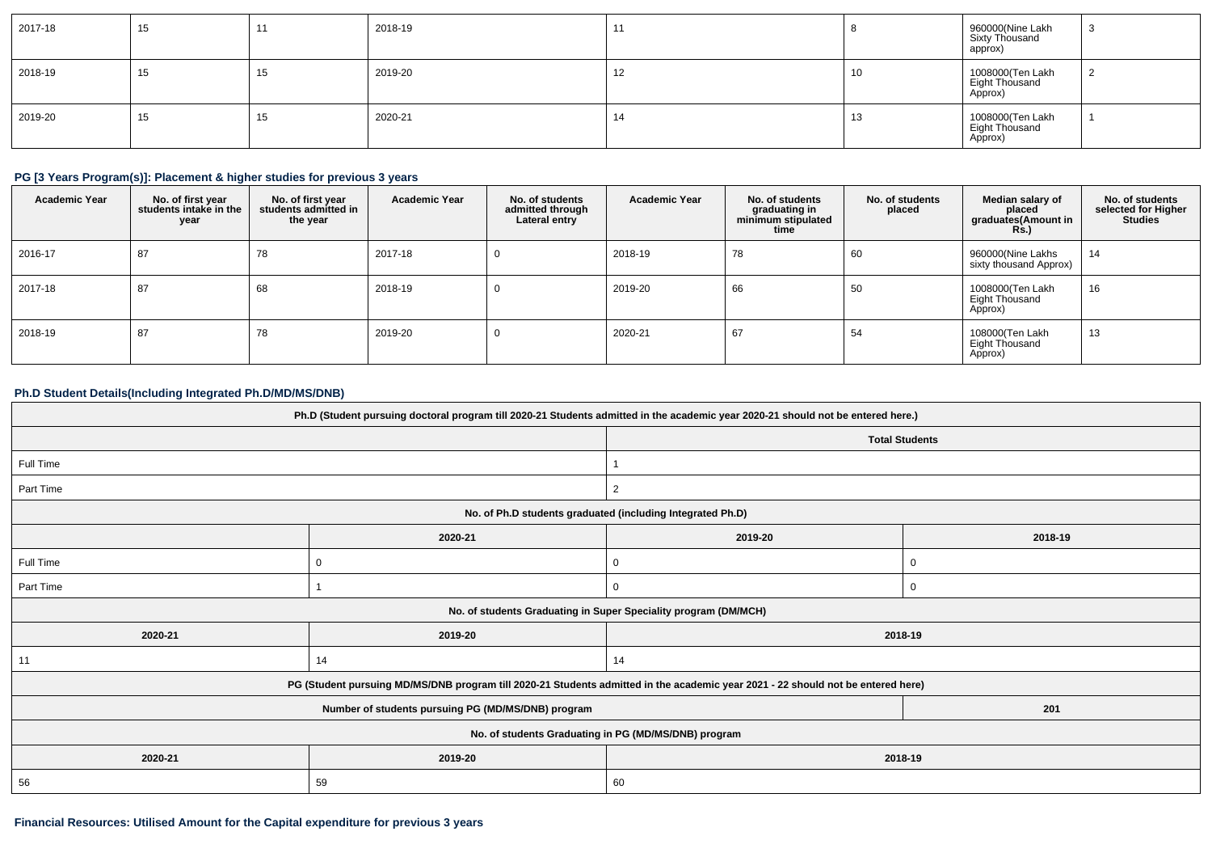| 2017-18 | 15 | 44 | 2018-19 |    |    | 960000(Nine Lakh<br>Sixty Thousand<br>approx) | - 3 |
|---------|----|----|---------|----|----|-----------------------------------------------|-----|
| 2018-19 | 15 | 15 | 2019-20 | 12 | 10 | 1008000(Ten Lakh<br>Eight Thousand<br>Approx) | ▵   |
| 2019-20 | 15 | 15 | 2020-21 | 14 | 13 | 1008000(Ten Lakh<br>Eight Thousand<br>Approx) |     |

### **PG [3 Years Program(s)]: Placement & higher studies for previous 3 years**

| <b>Academic Year</b> | No. of first year<br>students intake in the<br>year | No. of first year<br>students admitted in<br>the year | <b>Academic Year</b> | No. of students<br>admitted through<br>Lateral entry | <b>Academic Year</b> | No. of students<br>graduating in<br>minimum stipulated<br>time | No. of students<br>placed | Median salary of<br>placed<br>graduates(Amount in<br><b>Rs.)</b> | No. of students<br>selected for Higher<br><b>Studies</b> |
|----------------------|-----------------------------------------------------|-------------------------------------------------------|----------------------|------------------------------------------------------|----------------------|----------------------------------------------------------------|---------------------------|------------------------------------------------------------------|----------------------------------------------------------|
| 2016-17              | 87                                                  | 78                                                    | 2017-18              | 0                                                    | 2018-19              | 78                                                             | 60                        | 960000(Nine Lakhs<br>sixty thousand Approx)                      | 14                                                       |
| 2017-18              | 87                                                  | 68                                                    | 2018-19              | 0                                                    | 2019-20              | 66                                                             | 50                        | 1008000(Ten Lakh<br>Eight Thousand<br>Approx)                    | 16                                                       |
| 2018-19              | 87                                                  | 78                                                    | 2019-20              |                                                      | 2020-21              | 67                                                             | 54                        | 108000(Ten Lakh<br><b>Eight Thousand</b><br>Approx)              | 13                                                       |

### **Ph.D Student Details(Including Integrated Ph.D/MD/MS/DNB)**

| Ph.D (Student pursuing doctoral program till 2020-21 Students admitted in the academic year 2020-21 should not be entered here.) |                                                                                                                                  |                                                                 |             |  |  |
|----------------------------------------------------------------------------------------------------------------------------------|----------------------------------------------------------------------------------------------------------------------------------|-----------------------------------------------------------------|-------------|--|--|
|                                                                                                                                  |                                                                                                                                  | <b>Total Students</b>                                           |             |  |  |
| Full Time                                                                                                                        |                                                                                                                                  |                                                                 |             |  |  |
| Part Time                                                                                                                        |                                                                                                                                  | 2                                                               |             |  |  |
|                                                                                                                                  |                                                                                                                                  | No. of Ph.D students graduated (including Integrated Ph.D)      |             |  |  |
|                                                                                                                                  | 2020-21                                                                                                                          | 2019-20                                                         | 2018-19     |  |  |
| Full Time                                                                                                                        | 0                                                                                                                                | 0                                                               | $\mathbf 0$ |  |  |
| Part Time                                                                                                                        |                                                                                                                                  | 0                                                               | $\mathbf 0$ |  |  |
|                                                                                                                                  |                                                                                                                                  | No. of students Graduating in Super Speciality program (DM/MCH) |             |  |  |
| 2020-21                                                                                                                          | 2019-20                                                                                                                          | 2018-19                                                         |             |  |  |
| 11                                                                                                                               | 14                                                                                                                               | 14                                                              |             |  |  |
|                                                                                                                                  | PG (Student pursuing MD/MS/DNB program till 2020-21 Students admitted in the academic year 2021 - 22 should not be entered here) |                                                                 |             |  |  |
|                                                                                                                                  | Number of students pursuing PG (MD/MS/DNB) program                                                                               |                                                                 | 201         |  |  |
| No. of students Graduating in PG (MD/MS/DNB) program                                                                             |                                                                                                                                  |                                                                 |             |  |  |
| 2020-21                                                                                                                          | 2019-20                                                                                                                          | 2018-19                                                         |             |  |  |
| 56                                                                                                                               | 59                                                                                                                               | 60                                                              |             |  |  |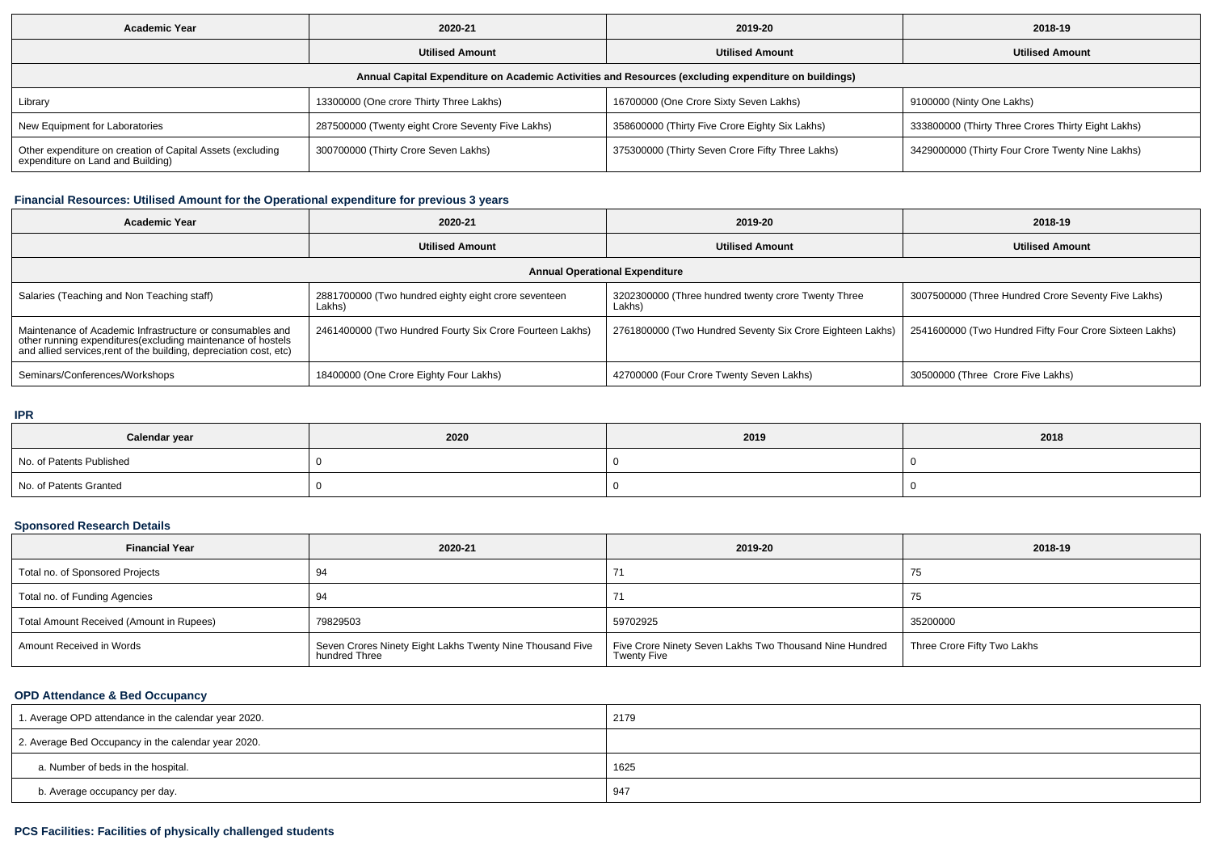| <b>Academic Year</b>                                                                                 | 2020-21                                           | 2019-20                                          | 2018-19                                            |  |  |  |
|------------------------------------------------------------------------------------------------------|---------------------------------------------------|--------------------------------------------------|----------------------------------------------------|--|--|--|
|                                                                                                      | <b>Utilised Amount</b>                            | <b>Utilised Amount</b>                           | <b>Utilised Amount</b>                             |  |  |  |
| Annual Capital Expenditure on Academic Activities and Resources (excluding expenditure on buildings) |                                                   |                                                  |                                                    |  |  |  |
| Library                                                                                              | 13300000 (One crore Thirty Three Lakhs)           | 16700000 (One Crore Sixty Seven Lakhs)           | 9100000 (Ninty One Lakhs)                          |  |  |  |
| New Equipment for Laboratories                                                                       | 287500000 (Twenty eight Crore Seventy Five Lakhs) | 358600000 (Thirty Five Crore Eighty Six Lakhs)   | 333800000 (Thirty Three Crores Thirty Eight Lakhs) |  |  |  |
| Other expenditure on creation of Capital Assets (excluding<br>expenditure on Land and Building)      | 300700000 (Thirty Crore Seven Lakhs)              | 375300000 (Thirty Seven Crore Fifty Three Lakhs) | 3429000000 (Thirty Four Crore Twenty Nine Lakhs)   |  |  |  |

# **Financial Resources: Utilised Amount for the Operational expenditure for previous 3 years**

| <b>Academic Year</b>                                                                                                                                                                            | 2020-21                                                        | 2019-20                                                       | 2018-19                                                 |  |  |  |
|-------------------------------------------------------------------------------------------------------------------------------------------------------------------------------------------------|----------------------------------------------------------------|---------------------------------------------------------------|---------------------------------------------------------|--|--|--|
|                                                                                                                                                                                                 | <b>Utilised Amount</b>                                         | <b>Utilised Amount</b>                                        | <b>Utilised Amount</b>                                  |  |  |  |
| <b>Annual Operational Expenditure</b>                                                                                                                                                           |                                                                |                                                               |                                                         |  |  |  |
| Salaries (Teaching and Non Teaching staff)                                                                                                                                                      | 2881700000 (Two hundred eighty eight crore seventeen<br>Lakhs) | 3202300000 (Three hundred twenty crore Twenty Three<br>Lakhs) | 3007500000 (Three Hundred Crore Seventy Five Lakhs)     |  |  |  |
| Maintenance of Academic Infrastructure or consumables and<br>other running expenditures (excluding maintenance of hostels<br>and allied services, rent of the building, depreciation cost, etc) | 2461400000 (Two Hundred Fourty Six Crore Fourteen Lakhs)       | 2761800000 (Two Hundred Seventy Six Crore Eighteen Lakhs)     | 2541600000 (Two Hundred Fifty Four Crore Sixteen Lakhs) |  |  |  |
| Seminars/Conferences/Workshops                                                                                                                                                                  | 18400000 (One Crore Eighty Four Lakhs)                         | 42700000 (Four Crore Twenty Seven Lakhs)                      | 30500000 (Three Crore Five Lakhs)                       |  |  |  |

### **IPR**

| Calendar year            | 2020 | 2019 | 2018 |
|--------------------------|------|------|------|
| No. of Patents Published |      |      |      |
| No. of Patents Granted   |      |      |      |

# **Sponsored Research Details**

| <b>Financial Year</b>                    | 2020-21                                                                    | 2019-20                                                                       | 2018-19                     |
|------------------------------------------|----------------------------------------------------------------------------|-------------------------------------------------------------------------------|-----------------------------|
| Total no. of Sponsored Projects          | 94                                                                         |                                                                               | ن ،                         |
| Total no. of Funding Agencies            | 94                                                                         |                                                                               | 75                          |
| Total Amount Received (Amount in Rupees) | 79829503                                                                   | 59702925                                                                      | 35200000                    |
| Amount Received in Words                 | Seven Crores Ninety Eight Lakhs Twenty Nine Thousand Five<br>hundred Three | Five Crore Ninety Seven Lakhs Two Thousand Nine Hundred<br><b>Twenty Five</b> | Three Crore Fifty Two Lakhs |

### **OPD Attendance & Bed Occupancy**

| 1. Average OPD attendance in the calendar year 2020. | 2179 |
|------------------------------------------------------|------|
| 2. Average Bed Occupancy in the calendar year 2020.  |      |
| a. Number of beds in the hospital.                   | 1625 |
| b. Average occupancy per day.                        | 947  |

# **PCS Facilities: Facilities of physically challenged students**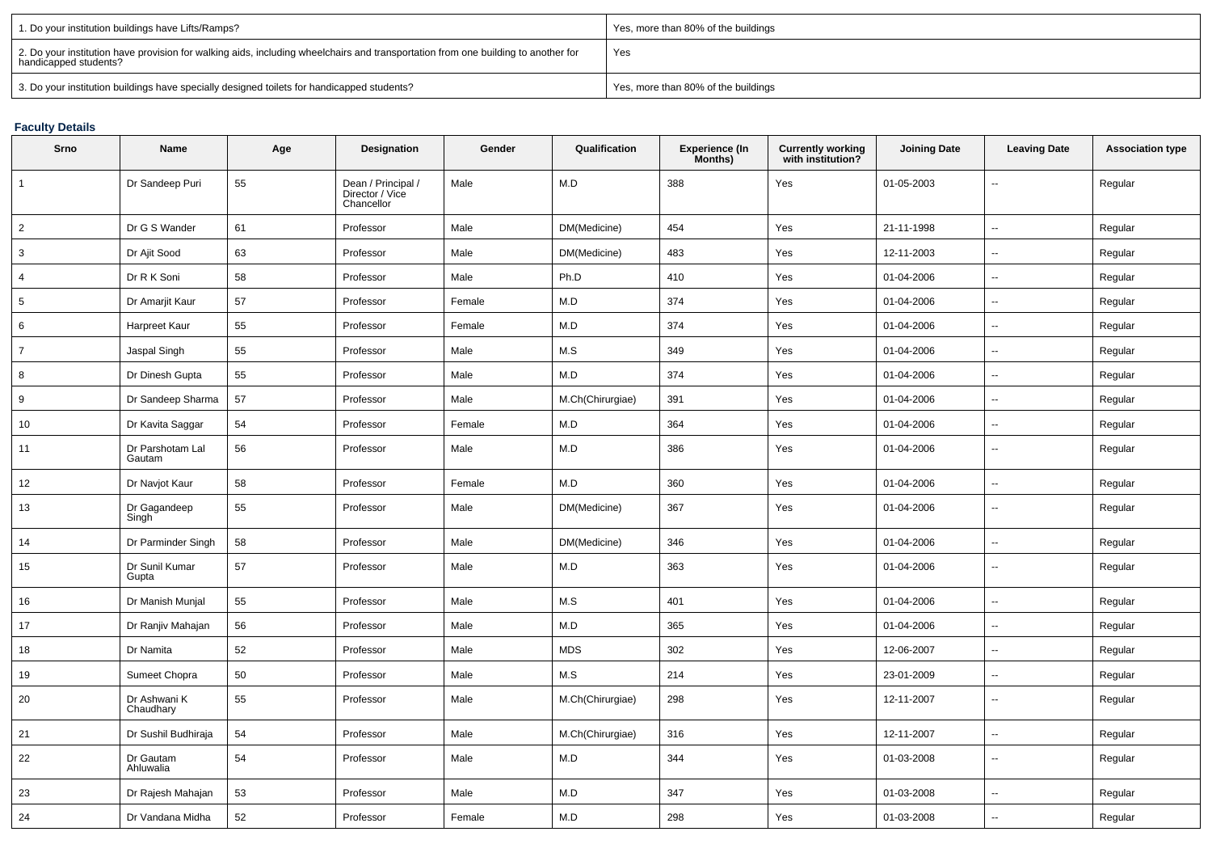| 1. Do your institution buildings have Lifts/Ramps?                                                                                                         | Yes, more than 80% of the buildings |
|------------------------------------------------------------------------------------------------------------------------------------------------------------|-------------------------------------|
| 2. Do your institution have provision for walking aids, including wheelchairs and transportation from one building to another for<br>handicapped students? | Yes                                 |
| 3. Do your institution buildings have specially designed toilets for handicapped students?                                                                 | Yes, more than 80% of the buildings |

## **Faculty Details**

| Srno            | Name                       | Age | Designation                                         | Gender | Qualification    | Experience (In<br>Months) | Currently working<br>with institution? | <b>Joining Date</b> | <b>Leaving Date</b>      | <b>Association type</b> |
|-----------------|----------------------------|-----|-----------------------------------------------------|--------|------------------|---------------------------|----------------------------------------|---------------------|--------------------------|-------------------------|
| $\overline{1}$  | Dr Sandeep Puri            | 55  | Dean / Principal /<br>Director / Vice<br>Chancellor | Male   | M.D              | 388                       | Yes                                    | 01-05-2003          | $\overline{a}$           | Regular                 |
| $\overline{2}$  | Dr G S Wander              | 61  | Professor                                           | Male   | DM(Medicine)     | 454                       | Yes                                    | 21-11-1998          | $\sim$                   | Regular                 |
| 3               | Dr Ajit Sood               | 63  | Professor                                           | Male   | DM(Medicine)     | 483                       | Yes                                    | 12-11-2003          | $\sim$                   | Regular                 |
| $\overline{4}$  | Dr R K Soni                | 58  | Professor                                           | Male   | Ph.D             | 410                       | Yes                                    | 01-04-2006          | $\sim$                   | Regular                 |
| $5\phantom{.0}$ | Dr Amarjit Kaur            | 57  | Professor                                           | Female | M.D              | 374                       | Yes                                    | 01-04-2006          | $\sim$                   | Regular                 |
| 6               | Harpreet Kaur              | 55  | Professor                                           | Female | M.D              | 374                       | Yes                                    | 01-04-2006          | $\sim$                   | Regular                 |
| $\overline{7}$  | Jaspal Singh               | 55  | Professor                                           | Male   | M.S              | 349                       | Yes                                    | 01-04-2006          | --                       | Regular                 |
| 8               | Dr Dinesh Gupta            | 55  | Professor                                           | Male   | M.D              | 374                       | Yes                                    | 01-04-2006          | $\sim$                   | Regular                 |
| 9               | Dr Sandeep Sharma          | 57  | Professor                                           | Male   | M.Ch(Chirurgiae) | 391                       | Yes                                    | 01-04-2006          | $\sim$                   | Regular                 |
| 10              | Dr Kavita Saggar           | 54  | Professor                                           | Female | M.D              | 364                       | Yes                                    | 01-04-2006          | $\ddotsc$                | Regular                 |
| 11              | Dr Parshotam Lal<br>Gautam | 56  | Professor                                           | Male   | M.D              | 386                       | Yes                                    | 01-04-2006          | $\sim$                   | Regular                 |
| 12              | Dr Navjot Kaur             | 58  | Professor                                           | Female | M.D              | 360                       | Yes                                    | 01-04-2006          | $\sim$                   | Regular                 |
| 13              | Dr Gagandeep<br>Singh      | 55  | Professor                                           | Male   | DM(Medicine)     | 367                       | Yes                                    | 01-04-2006          | $\sim$                   | Regular                 |
| 14              | Dr Parminder Singh         | 58  | Professor                                           | Male   | DM(Medicine)     | 346                       | Yes                                    | 01-04-2006          | $\sim$                   | Regular                 |
| 15              | Dr Sunil Kumar<br>Gupta    | 57  | Professor                                           | Male   | M.D              | 363                       | Yes                                    | 01-04-2006          | $\sim$                   | Regular                 |
| 16              | Dr Manish Munjal           | 55  | Professor                                           | Male   | M.S              | 401                       | Yes                                    | 01-04-2006          | $\overline{\phantom{a}}$ | Regular                 |
| 17              | Dr Ranjiv Mahajan          | 56  | Professor                                           | Male   | M.D              | 365                       | Yes                                    | 01-04-2006          | $\sim$                   | Regular                 |
| 18              | Dr Namita                  | 52  | Professor                                           | Male   | <b>MDS</b>       | 302                       | Yes                                    | 12-06-2007          | $\sim$                   | Regular                 |
| 19              | Sumeet Chopra              | 50  | Professor                                           | Male   | M.S              | 214                       | Yes                                    | 23-01-2009          | $\ddotsc$                | Regular                 |
| 20              | Dr Ashwani K<br>Chaudhary  | 55  | Professor                                           | Male   | M.Ch(Chirurgiae) | 298                       | Yes                                    | 12-11-2007          | $\ddotsc$                | Regular                 |
| 21              | Dr Sushil Budhiraja        | 54  | Professor                                           | Male   | M.Ch(Chirurgiae) | 316                       | Yes                                    | 12-11-2007          | $\sim$                   | Regular                 |
| 22              | Dr Gautam<br>Ahluwalia     | 54  | Professor                                           | Male   | M.D              | 344                       | Yes                                    | 01-03-2008          | $\sim$                   | Regular                 |
| 23              | Dr Rajesh Mahajan          | 53  | Professor                                           | Male   | M.D              | 347                       | Yes                                    | 01-03-2008          | $\sim$                   | Regular                 |
| 24              | Dr Vandana Midha           | 52  | Professor                                           | Female | M.D              | 298                       | Yes                                    | 01-03-2008          | $\overline{\phantom{a}}$ | Regular                 |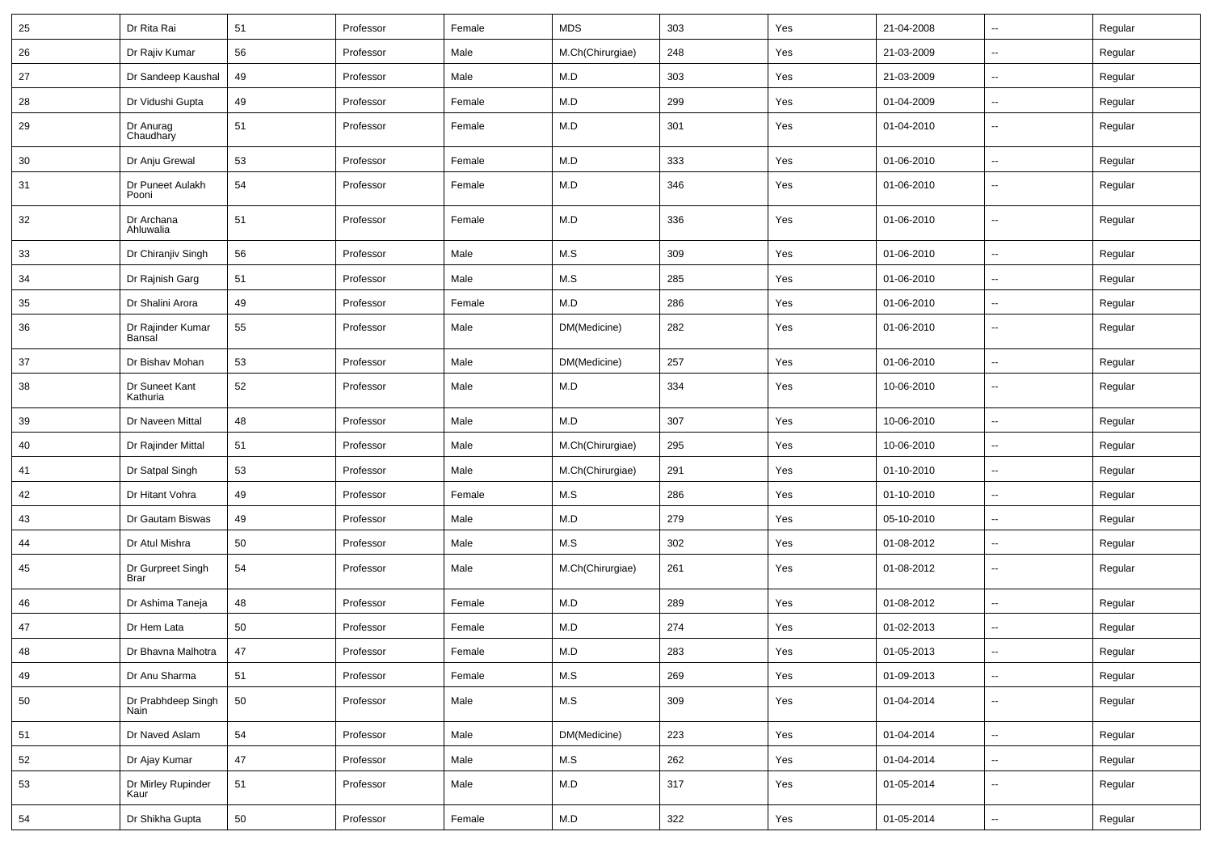| 25 | Dr Rita Rai                      | 51     | Professor | Female | <b>MDS</b>       | 303 | Yes | 21-04-2008 | $\sim$                   | Regular |
|----|----------------------------------|--------|-----------|--------|------------------|-----|-----|------------|--------------------------|---------|
| 26 | Dr Rajiv Kumar                   | 56     | Professor | Male   | M.Ch(Chirurgiae) | 248 | Yes | 21-03-2009 | $\overline{\phantom{a}}$ | Regular |
| 27 | Dr Sandeep Kaushal               | 49     | Professor | Male   | M.D              | 303 | Yes | 21-03-2009 | $\sim$                   | Regular |
| 28 | Dr Vidushi Gupta                 | 49     | Professor | Female | M.D              | 299 | Yes | 01-04-2009 | --                       | Regular |
| 29 | Dr Anurag<br>Chaudhary           | 51     | Professor | Female | M.D              | 301 | Yes | 01-04-2010 | $\overline{\phantom{a}}$ | Regular |
| 30 | Dr Anju Grewal                   | 53     | Professor | Female | ${\sf M.D}$      | 333 | Yes | 01-06-2010 | $\sim$                   | Regular |
| 31 | Dr Puneet Aulakh<br>Pooni        | 54     | Professor | Female | M.D              | 346 | Yes | 01-06-2010 | $\overline{\phantom{a}}$ | Regular |
| 32 | Dr Archana<br>Ahluwalia          | 51     | Professor | Female | M.D              | 336 | Yes | 01-06-2010 | $\overline{\phantom{a}}$ | Regular |
| 33 | Dr Chiranjiv Singh               | 56     | Professor | Male   | M.S              | 309 | Yes | 01-06-2010 | $\ddot{\phantom{a}}$     | Regular |
| 34 | Dr Rajnish Garg                  | 51     | Professor | Male   | M.S              | 285 | Yes | 01-06-2010 | $\ddotsc$                | Regular |
| 35 | Dr Shalini Arora                 | 49     | Professor | Female | M.D              | 286 | Yes | 01-06-2010 | $\sim$                   | Regular |
| 36 | Dr Rajinder Kumar<br>Bansal      | 55     | Professor | Male   | DM(Medicine)     | 282 | Yes | 01-06-2010 | $\sim$                   | Regular |
| 37 | Dr Bishav Mohan                  | 53     | Professor | Male   | DM(Medicine)     | 257 | Yes | 01-06-2010 | --                       | Regular |
| 38 | Dr Suneet Kant<br>Kathuria       | 52     | Professor | Male   | M.D              | 334 | Yes | 10-06-2010 | Ξ.                       | Regular |
| 39 | Dr Naveen Mittal                 | 48     | Professor | Male   | M.D              | 307 | Yes | 10-06-2010 | $\sim$                   | Regular |
| 40 | Dr Rajinder Mittal               | 51     | Professor | Male   | M.Ch(Chirurgiae) | 295 | Yes | 10-06-2010 | $\sim$                   | Regular |
| 41 | Dr Satpal Singh                  | 53     | Professor | Male   | M.Ch(Chirurgiae) | 291 | Yes | 01-10-2010 | $\sim$                   | Regular |
| 42 | Dr Hitant Vohra                  | 49     | Professor | Female | M.S              | 286 | Yes | 01-10-2010 | $\sim$                   | Regular |
| 43 | Dr Gautam Biswas                 | 49     | Professor | Male   | M.D              | 279 | Yes | 05-10-2010 | $\sim$                   | Regular |
| 44 | Dr Atul Mishra                   | 50     | Professor | Male   | M.S              | 302 | Yes | 01-08-2012 | --                       | Regular |
| 45 | Dr Gurpreet Singh<br><b>Brar</b> | 54     | Professor | Male   | M.Ch(Chirurgiae) | 261 | Yes | 01-08-2012 | --                       | Regular |
| 46 | Dr Ashima Taneja                 | 48     | Professor | Female | M.D              | 289 | Yes | 01-08-2012 | $\sim$                   | Regular |
| 47 | Dr Hem Lata                      | 50     | Professor | Female | M.D              | 274 | Yes | 01-02-2013 | Ξ.                       | Regular |
| 48 | Dr Bhavna Malhotra               | 47     | Professor | Female | M.D              | 283 | Yes | 01-05-2013 | --                       | Regular |
| 49 | Dr Anu Sharma                    | 51     | Professor | Female | M.S              | 269 | Yes | 01-09-2013 | Ξ.                       | Regular |
| 50 | Dr Prabhdeep Singh<br>Nain       | 50     | Professor | Male   | ${\sf M.S}$      | 309 | Yes | 01-04-2014 | $\overline{\phantom{a}}$ | Regular |
| 51 | Dr Naved Aslam                   | 54     | Professor | Male   | DM(Medicine)     | 223 | Yes | 01-04-2014 | $\sim$                   | Regular |
| 52 | Dr Ajay Kumar                    | 47     | Professor | Male   | ${\sf M.S}$      | 262 | Yes | 01-04-2014 | $\overline{\phantom{a}}$ | Regular |
| 53 | Dr Mirley Rupinder<br>Kaur       | 51     | Professor | Male   | M.D              | 317 | Yes | 01-05-2014 | Ξ.                       | Regular |
| 54 | Dr Shikha Gupta                  | $50\,$ | Professor | Female | M.D              | 322 | Yes | 01-05-2014 | $\overline{\phantom{a}}$ | Regular |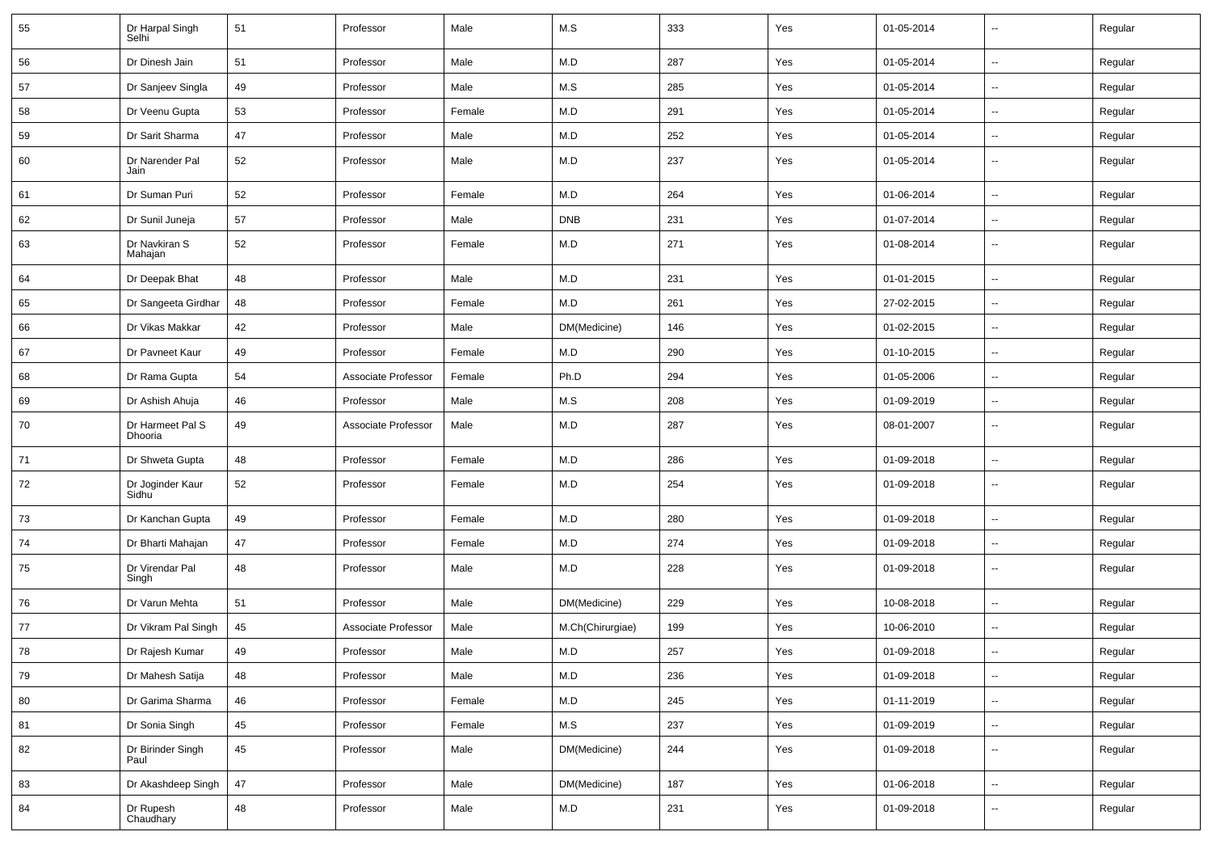| 55 | Dr Harpal Singh<br>Selhi    | 51 | Professor           | Male   | M.S              | 333 | Yes | 01-05-2014 | Ξ.                       | Regular |
|----|-----------------------------|----|---------------------|--------|------------------|-----|-----|------------|--------------------------|---------|
| 56 | Dr Dinesh Jain              | 51 | Professor           | Male   | M.D              | 287 | Yes | 01-05-2014 | $\overline{\phantom{a}}$ | Regular |
| 57 | Dr Sanjeev Singla           | 49 | Professor           | Male   | M.S              | 285 | Yes | 01-05-2014 | $\sim$                   | Regular |
| 58 | Dr Veenu Gupta              | 53 | Professor           | Female | M.D              | 291 | Yes | 01-05-2014 | $\overline{\phantom{a}}$ | Regular |
| 59 | Dr Sarit Sharma             | 47 | Professor           | Male   | M.D              | 252 | Yes | 01-05-2014 | --                       | Regular |
| 60 | Dr Narender Pal<br>Jain     | 52 | Professor           | Male   | M.D              | 237 | Yes | 01-05-2014 | --                       | Regular |
| 61 | Dr Suman Puri               | 52 | Professor           | Female | M.D              | 264 | Yes | 01-06-2014 | $\sim$                   | Regular |
| 62 | Dr Sunil Juneja             | 57 | Professor           | Male   | <b>DNB</b>       | 231 | Yes | 01-07-2014 | $\sim$                   | Regular |
| 63 | Dr Navkiran S<br>Mahajan    | 52 | Professor           | Female | M.D              | 271 | Yes | 01-08-2014 | $\sim$                   | Regular |
| 64 | Dr Deepak Bhat              | 48 | Professor           | Male   | M.D              | 231 | Yes | 01-01-2015 | $\ddot{\phantom{a}}$     | Regular |
| 65 | Dr Sangeeta Girdhar         | 48 | Professor           | Female | M.D              | 261 | Yes | 27-02-2015 | $\sim$                   | Regular |
| 66 | Dr Vikas Makkar             | 42 | Professor           | Male   | DM(Medicine)     | 146 | Yes | 01-02-2015 | Ξ.                       | Regular |
| 67 | Dr Pavneet Kaur             | 49 | Professor           | Female | M.D              | 290 | Yes | 01-10-2015 | --                       | Regular |
| 68 | Dr Rama Gupta               | 54 | Associate Professor | Female | Ph.D             | 294 | Yes | 01-05-2006 | Ξ.                       | Regular |
| 69 | Dr Ashish Ahuja             | 46 | Professor           | Male   | M.S              | 208 | Yes | 01-09-2019 | $\sim$                   | Regular |
| 70 | Dr Harmeet Pal S<br>Dhooria | 49 | Associate Professor | Male   | M.D              | 287 | Yes | 08-01-2007 | $\sim$                   | Regular |
| 71 | Dr Shweta Gupta             | 48 | Professor           | Female | M.D              | 286 | Yes | 01-09-2018 | $\ddotsc$                | Regular |
| 72 | Dr Joginder Kaur<br>Sidhu   | 52 | Professor           | Female | M.D              | 254 | Yes | 01-09-2018 | $\sim$                   | Regular |
| 73 | Dr Kanchan Gupta            | 49 | Professor           | Female | M.D              | 280 | Yes | 01-09-2018 | $\overline{\phantom{a}}$ | Regular |
| 74 | Dr Bharti Mahajan           | 47 | Professor           | Female | M.D              | 274 | Yes | 01-09-2018 | --                       | Regular |
| 75 | Dr Virendar Pal<br>Singh    | 48 | Professor           | Male   | M.D              | 228 | Yes | 01-09-2018 | --                       | Regular |
| 76 | Dr Varun Mehta              | 51 | Professor           | Male   | DM(Medicine)     | 229 | Yes | 10-08-2018 | Ξ.                       | Regular |
| 77 | Dr Vikram Pal Singh         | 45 | Associate Professor | Male   | M.Ch(Chirurgiae) | 199 | Yes | 10-06-2010 | Ξ.                       | Regular |
| 78 | Dr Rajesh Kumar             | 49 | Professor           | Male   | M.D              | 257 | Yes | 01-09-2018 | --                       | Regular |
| 79 | Dr Mahesh Satija            | 48 | Professor           | Male   | M.D              | 236 | Yes | 01-09-2018 | $\overline{\phantom{a}}$ | Regular |
| 80 | Dr Garima Sharma            | 46 | Professor           | Female | M.D              | 245 | Yes | 01-11-2019 | $\sim$                   | Regular |
| 81 | Dr Sonia Singh              | 45 | Professor           | Female | M.S              | 237 | Yes | 01-09-2019 | --                       | Regular |
| 82 | Dr Birinder Singh<br>Paul   | 45 | Professor           | Male   | DM(Medicine)     | 244 | Yes | 01-09-2018 | --                       | Regular |
| 83 | Dr Akashdeep Singh          | 47 | Professor           | Male   | DM(Medicine)     | 187 | Yes | 01-06-2018 | $\sim$                   | Regular |
| 84 | Dr Rupesh<br>Chaudhary      | 48 | Professor           | Male   | M.D              | 231 | Yes | 01-09-2018 | --                       | Regular |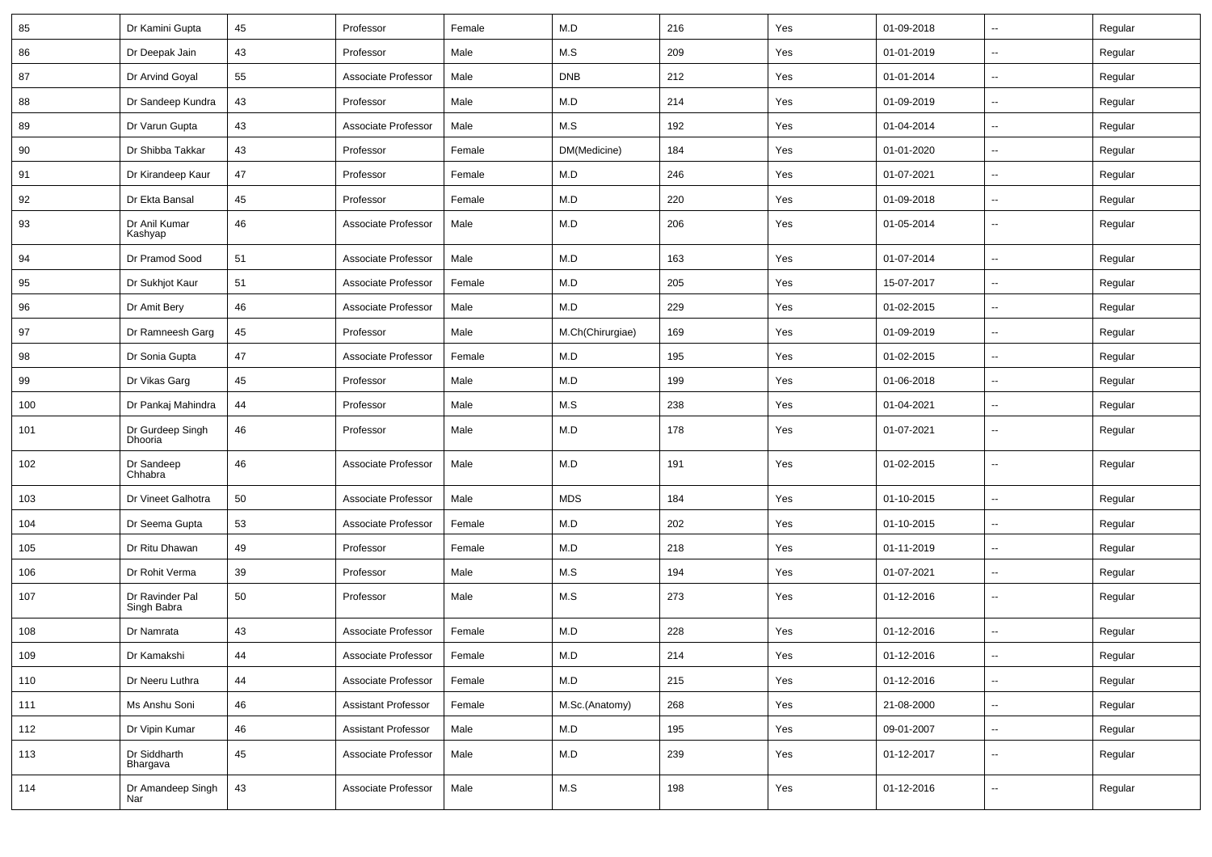| 85  | Dr Kamini Gupta                | 45 | Professor                  | Female | M.D              | 216 | Yes | 01-09-2018 | $\sim$                   | Regular |
|-----|--------------------------------|----|----------------------------|--------|------------------|-----|-----|------------|--------------------------|---------|
| 86  | Dr Deepak Jain                 | 43 | Professor                  | Male   | M.S              | 209 | Yes | 01-01-2019 | $\sim$                   | Regular |
| 87  | Dr Arvind Goyal                | 55 | Associate Professor        | Male   | <b>DNB</b>       | 212 | Yes | 01-01-2014 | $\mathbf{u}$             | Regular |
| 88  | Dr Sandeep Kundra              | 43 | Professor                  | Male   | M.D              | 214 | Yes | 01-09-2019 | $\overline{\phantom{a}}$ | Regular |
| 89  | Dr Varun Gupta                 | 43 | Associate Professor        | Male   | M.S              | 192 | Yes | 01-04-2014 | $\mathbf{u}$             | Regular |
| 90  | Dr Shibba Takkar               | 43 | Professor                  | Female | DM(Medicine)     | 184 | Yes | 01-01-2020 | $\overline{\phantom{a}}$ | Regular |
| 91  | Dr Kirandeep Kaur              | 47 | Professor                  | Female | M.D              | 246 | Yes | 01-07-2021 | $\sim$                   | Regular |
| 92  | Dr Ekta Bansal                 | 45 | Professor                  | Female | M.D              | 220 | Yes | 01-09-2018 | $\sim$                   | Regular |
| 93  | Dr Anil Kumar<br>Kashyap       | 46 | Associate Professor        | Male   | M.D              | 206 | Yes | 01-05-2014 | $\mathbf{u}$             | Regular |
| 94  | Dr Pramod Sood                 | 51 | Associate Professor        | Male   | M.D              | 163 | Yes | 01-07-2014 | $\mathbf{u}$             | Regular |
| 95  | Dr Sukhjot Kaur                | 51 | Associate Professor        | Female | M.D              | 205 | Yes | 15-07-2017 | $\overline{\phantom{a}}$ | Regular |
| 96  | Dr Amit Bery                   | 46 | Associate Professor        | Male   | M.D              | 229 | Yes | 01-02-2015 | $\mathbf{u}$             | Regular |
| 97  | Dr Ramneesh Garg               | 45 | Professor                  | Male   | M.Ch(Chirurgiae) | 169 | Yes | 01-09-2019 | $\sim$                   | Regular |
| 98  | Dr Sonia Gupta                 | 47 | Associate Professor        | Female | M.D              | 195 | Yes | 01-02-2015 | $\sim$                   | Regular |
| 99  | Dr Vikas Garg                  | 45 | Professor                  | Male   | M.D              | 199 | Yes | 01-06-2018 | $\sim$                   | Regular |
| 100 | Dr Pankaj Mahindra             | 44 | Professor                  | Male   | M.S              | 238 | Yes | 01-04-2021 | $\mathbf{u}$             | Regular |
| 101 | Dr Gurdeep Singh<br>Dhooria    | 46 | Professor                  | Male   | M.D              | 178 | Yes | 01-07-2021 | --                       | Regular |
| 102 | Dr Sandeep<br>Chhabra          | 46 | Associate Professor        | Male   | M.D              | 191 | Yes | 01-02-2015 | --                       | Regular |
| 103 | Dr Vineet Galhotra             | 50 | Associate Professor        | Male   | <b>MDS</b>       | 184 | Yes | 01-10-2015 | $\mathbf{u}$             | Regular |
| 104 | Dr Seema Gupta                 | 53 | Associate Professor        | Female | M.D              | 202 | Yes | 01-10-2015 | $\mathbf{u}$             | Regular |
| 105 | Dr Ritu Dhawan                 | 49 | Professor                  | Female | M.D              | 218 | Yes | 01-11-2019 | $\sim$                   | Regular |
| 106 | Dr Rohit Verma                 | 39 | Professor                  | Male   | M.S              | 194 | Yes | 01-07-2021 | $\sim$                   | Regular |
| 107 | Dr Ravinder Pal<br>Singh Babra | 50 | Professor                  | Male   | M.S              | 273 | Yes | 01-12-2016 | $\sim$                   | Regular |
| 108 | Dr Namrata                     | 43 | Associate Professor        | Female | M.D              | 228 | Yes | 01-12-2016 | $\sim$                   | Regular |
| 109 | Dr Kamakshi                    | 44 | Associate Professor        | Female | M.D              | 214 | Yes | 01-12-2016 | $\sim$                   | Regular |
| 110 | Dr Neeru Luthra                | 44 | Associate Professor        | Female | M.D              | 215 | Yes | 01-12-2016 | $\sim$                   | Regular |
| 111 | Ms Anshu Soni                  | 46 | <b>Assistant Professor</b> | Female | M.Sc.(Anatomy)   | 268 | Yes | 21-08-2000 | $\sim$                   | Regular |
| 112 | Dr Vipin Kumar                 | 46 | <b>Assistant Professor</b> | Male   | M.D              | 195 | Yes | 09-01-2007 | $\sim$                   | Regular |
| 113 | Dr Siddharth<br>Bhargava       | 45 | Associate Professor        | Male   | M.D              | 239 | Yes | 01-12-2017 | $\sim$                   | Regular |
| 114 | Dr Amandeep Singh<br>Nar       | 43 | Associate Professor        | Male   | M.S              | 198 | Yes | 01-12-2016 | $\sim$                   | Regular |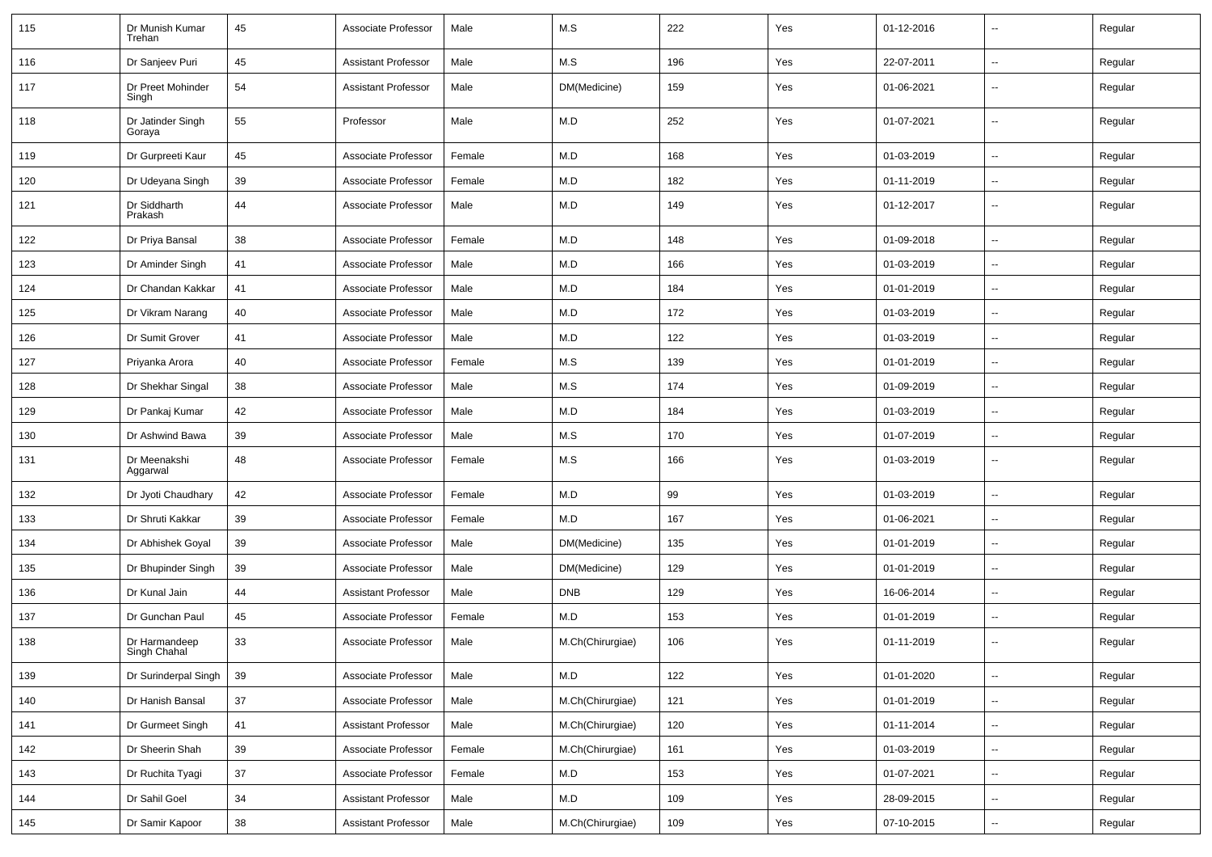| 115 | Dr Munish Kumar<br>Trehan     | 45     | Associate Professor        | Male   | M.S              | 222 | Yes | 01-12-2016 | $\sim$                   | Regular |
|-----|-------------------------------|--------|----------------------------|--------|------------------|-----|-----|------------|--------------------------|---------|
| 116 | Dr Sanjeev Puri               | 45     | <b>Assistant Professor</b> | Male   | M.S              | 196 | Yes | 22-07-2011 | $\sim$                   | Regular |
| 117 | Dr Preet Mohinder<br>Singh    | 54     | <b>Assistant Professor</b> | Male   | DM(Medicine)     | 159 | Yes | 01-06-2021 | $\overline{\phantom{a}}$ | Regular |
| 118 | Dr Jatinder Singh<br>Goraya   | 55     | Professor                  | Male   | M.D              | 252 | Yes | 01-07-2021 | --                       | Regular |
| 119 | Dr Gurpreeti Kaur             | 45     | Associate Professor        | Female | M.D              | 168 | Yes | 01-03-2019 | $\overline{\phantom{a}}$ | Regular |
| 120 | Dr Udeyana Singh              | 39     | Associate Professor        | Female | M.D              | 182 | Yes | 01-11-2019 | Ш,                       | Regular |
| 121 | Dr Siddharth<br>Prakash       | 44     | Associate Professor        | Male   | M.D              | 149 | Yes | 01-12-2017 | $\overline{\phantom{a}}$ | Regular |
| 122 | Dr Priya Bansal               | 38     | Associate Professor        | Female | M.D              | 148 | Yes | 01-09-2018 | $\overline{\phantom{a}}$ | Regular |
| 123 | Dr Aminder Singh              | 41     | Associate Professor        | Male   | M.D              | 166 | Yes | 01-03-2019 | $\overline{\phantom{a}}$ | Regular |
| 124 | Dr Chandan Kakkar             | 41     | Associate Professor        | Male   | M.D              | 184 | Yes | 01-01-2019 | $\sim$                   | Regular |
| 125 | Dr Vikram Narang              | 40     | Associate Professor        | Male   | M.D              | 172 | Yes | 01-03-2019 | $\sim$                   | Regular |
| 126 | Dr Sumit Grover               | 41     | Associate Professor        | Male   | M.D              | 122 | Yes | 01-03-2019 | $\overline{\phantom{a}}$ | Regular |
| 127 | Priyanka Arora                | 40     | Associate Professor        | Female | M.S              | 139 | Yes | 01-01-2019 | $\overline{\phantom{a}}$ | Regular |
| 128 | Dr Shekhar Singal             | 38     | Associate Professor        | Male   | M.S              | 174 | Yes | 01-09-2019 | $\overline{a}$           | Regular |
| 129 | Dr Pankaj Kumar               | 42     | Associate Professor        | Male   | M.D              | 184 | Yes | 01-03-2019 | --                       | Regular |
| 130 | Dr Ashwind Bawa               | 39     | Associate Professor        | Male   | M.S              | 170 | Yes | 01-07-2019 | $\sim$                   | Regular |
| 131 | Dr Meenakshi<br>Aggarwal      | 48     | Associate Professor        | Female | M.S              | 166 | Yes | 01-03-2019 | $\sim$                   | Regular |
| 132 | Dr Jyoti Chaudhary            | 42     | Associate Professor        | Female | M.D              | 99  | Yes | 01-03-2019 | $\sim$                   | Regular |
| 133 | Dr Shruti Kakkar              | 39     | Associate Professor        | Female | M.D              | 167 | Yes | 01-06-2021 | $\overline{\phantom{a}}$ | Regular |
| 134 | Dr Abhishek Goyal             | 39     | Associate Professor        | Male   | DM(Medicine)     | 135 | Yes | 01-01-2019 | $\overline{\phantom{a}}$ | Regular |
| 135 | Dr Bhupinder Singh            | 39     | Associate Professor        | Male   | DM(Medicine)     | 129 | Yes | 01-01-2019 | $\overline{\phantom{a}}$ | Regular |
| 136 | Dr Kunal Jain                 | 44     | <b>Assistant Professor</b> | Male   | <b>DNB</b>       | 129 | Yes | 16-06-2014 | --                       | Regular |
| 137 | Dr Gunchan Paul               | 45     | Associate Professor        | Female | M.D              | 153 | Yes | 01-01-2019 | $\sim$                   | Regular |
| 138 | Dr Harmandeep<br>Singh Chahal | 33     | Associate Professor        | Male   | M.Ch(Chirurgiae) | 106 | Yes | 01-11-2019 | --                       | Regular |
| 139 | Dr Surinderpal Singh          | 39     | Associate Professor        | Male   | M.D              | 122 | Yes | 01-01-2020 | $\sim$                   | Regular |
| 140 | Dr Hanish Bansal              | 37     | Associate Professor        | Male   | M.Ch(Chirurgiae) | 121 | Yes | 01-01-2019 | Щ,                       | Regular |
| 141 | Dr Gurmeet Singh              | 41     | <b>Assistant Professor</b> | Male   | M.Ch(Chirurgiae) | 120 | Yes | 01-11-2014 | $\sim$                   | Regular |
| 142 | Dr Sheerin Shah               | 39     | Associate Professor        | Female | M.Ch(Chirurgiae) | 161 | Yes | 01-03-2019 | $\overline{\phantom{a}}$ | Regular |
| 143 | Dr Ruchita Tyagi              | $37\,$ | Associate Professor        | Female | M.D              | 153 | Yes | 01-07-2021 | Щ,                       | Regular |
| 144 | Dr Sahil Goel                 | 34     | <b>Assistant Professor</b> | Male   | M.D              | 109 | Yes | 28-09-2015 | $\sim$                   | Regular |
| 145 | Dr Samir Kapoor               | 38     | <b>Assistant Professor</b> | Male   | M.Ch(Chirurgiae) | 109 | Yes | 07-10-2015 | $\overline{\phantom{a}}$ | Regular |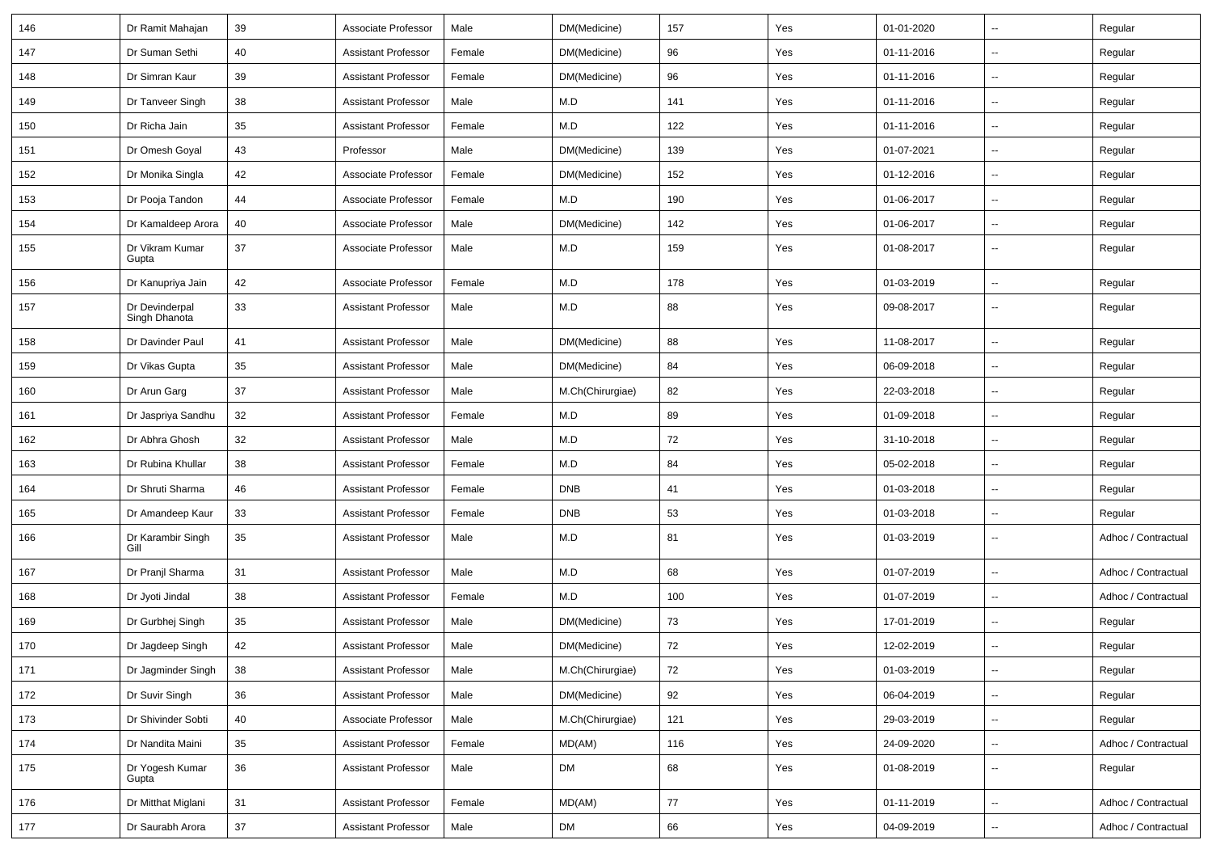| 146     | Dr Ramit Mahajan                      | 39 | Associate Professor        | Male   | DM(Medicine)     | 157 | Yes | 01-01-2020 | $\mathbf{u}$             | Regular             |
|---------|---------------------------------------|----|----------------------------|--------|------------------|-----|-----|------------|--------------------------|---------------------|
| 147     | Dr Suman Sethi                        | 40 | Assistant Professor        | Female | DM(Medicine)     | 96  | Yes | 01-11-2016 | $\sim$                   | Regular             |
| 148     | Dr Simran Kaur                        | 39 | <b>Assistant Professor</b> | Female | DM(Medicine)     | 96  | Yes | 01-11-2016 |                          | Regular             |
| 149     | Dr Tanveer Singh                      | 38 | <b>Assistant Professor</b> | Male   | M.D              | 141 | Yes | 01-11-2016 |                          | Regular             |
| 150     | Dr Richa Jain                         | 35 | <b>Assistant Professor</b> | Female | M.D              | 122 | Yes | 01-11-2016 | $\overline{\phantom{a}}$ | Regular             |
| 151     | Dr Omesh Goyal                        | 43 | Professor                  | Male   | DM(Medicine)     | 139 | Yes | 01-07-2021 | $\sim$                   | Regular             |
| 152     | Dr Monika Singla                      | 42 | Associate Professor        | Female | DM(Medicine)     | 152 | Yes | 01-12-2016 | $\sim$                   | Regular             |
| 153     | Dr Pooja Tandon                       | 44 | Associate Professor        | Female | M.D              | 190 | Yes | 01-06-2017 | $\sim$                   | Regular             |
| 154     | Dr Kamaldeep Arora                    | 40 | Associate Professor        | Male   | DM(Medicine)     | 142 | Yes | 01-06-2017 | --                       | Regular             |
| 155     | Dr Vikram Kumar<br>Gupta              | 37 | Associate Professor        | Male   | M.D              | 159 | Yes | 01-08-2017 | $\overline{a}$           | Regular             |
| 156     | Dr Kanupriya Jain                     | 42 | Associate Professor        | Female | M.D              | 178 | Yes | 01-03-2019 | $\mathbf{u}$             | Regular             |
| 157     | Dr Devinderpal<br>Singh Dhanota       | 33 | <b>Assistant Professor</b> | Male   | M.D              | 88  | Yes | 09-08-2017 | $\overline{a}$           | Regular             |
| 158     | Dr Davinder Paul                      | 41 | <b>Assistant Professor</b> | Male   | DM(Medicine)     | 88  | Yes | 11-08-2017 | $\mathbf{u}$             | Regular             |
| 159     | Dr Vikas Gupta                        | 35 | <b>Assistant Professor</b> | Male   | DM(Medicine)     | 84  | Yes | 06-09-2018 | $\mathbf{u}$             | Regular             |
| 160     | Dr Arun Garg                          | 37 | <b>Assistant Professor</b> | Male   | M.Ch(Chirurgiae) | 82  | Yes | 22-03-2018 | $\mathbf{u}$             | Regular             |
| 161     | Dr Jaspriya Sandhu                    | 32 | <b>Assistant Professor</b> | Female | M.D              | 89  | Yes | 01-09-2018 | $\overline{\phantom{a}}$ | Regular             |
| 162     | Dr Abhra Ghosh                        | 32 | <b>Assistant Professor</b> | Male   | M.D              | 72  | Yes | 31-10-2018 | $\mathbf{u}$             | Regular             |
| 163     | Dr Rubina Khullar                     | 38 | <b>Assistant Professor</b> | Female | M.D              | 84  | Yes | 05-02-2018 | Ξ.                       | Regular             |
| 164     | Dr Shruti Sharma                      | 46 | Assistant Professor        | Female | <b>DNB</b>       | 41  | Yes | 01-03-2018 | $\overline{\phantom{a}}$ | Regular             |
| 165     | Dr Amandeep Kaur                      | 33 | <b>Assistant Professor</b> | Female | <b>DNB</b>       | 53  | Yes | 01-03-2018 | $\overline{\phantom{a}}$ | Regular             |
| 166     | Dr Karambir Singh<br>Gill             | 35 | <b>Assistant Professor</b> | Male   | M.D              | 81  | Yes | 01-03-2019 | $\mathbf{u}$             | Adhoc / Contractual |
| 167     | Dr Pranjl Sharma                      | 31 | <b>Assistant Professor</b> | Male   | M.D              | 68  | Yes | 01-07-2019 | $\overline{a}$           | Adhoc / Contractual |
| 168     | Dr Jyoti Jindal                       | 38 | <b>Assistant Professor</b> | Female | M.D              | 100 | Yes | 01-07-2019 | $\mathbf{u}$             | Adhoc / Contractual |
| 169     | Dr Gurbhej Singh                      | 35 | <b>Assistant Professor</b> | Male   | DM(Medicine)     | 73  | Yes | 17-01-2019 | $\overline{\phantom{a}}$ | Regular             |
| 170     | Dr Jagdeep Singh                      | 42 | <b>Assistant Professor</b> | Male   | DM(Medicine)     | 72  | Yes | 12-02-2019 |                          | Regular             |
| $171$   | Dr Jagminder Singh                    | 38 | <b>Assistant Professor</b> | Male   | M.Ch(Chirurgiae) | 72  | Yes | 01-03-2019 | $\ddotsc$                | Regular             |
| 172     | Dr Suvir Singh                        | 36 | <b>Assistant Professor</b> | Male   | DM(Medicine)     | 92  | Yes | 06-04-2019 | $\overline{\phantom{a}}$ | Regular             |
| 173     | Dr Shivinder Sobti                    | 40 | Associate Professor        | Male   | M.Ch(Chirurgiae) | 121 | Yes | 29-03-2019 | $\sim$                   | Regular             |
| $174\,$ | Dr Nandita Maini                      | 35 | <b>Assistant Professor</b> | Female | MD(AM)           | 116 | Yes | 24-09-2020 | $\sim$                   | Adhoc / Contractual |
| 175     | Dr Yogesh Kumar<br>Gupta <sup>-</sup> | 36 | <b>Assistant Professor</b> | Male   | <b>DM</b>        | 68  | Yes | 01-08-2019 | $\overline{\phantom{a}}$ | Regular             |
| 176     | Dr Mitthat Miglani                    | 31 | Assistant Professor        | Female | MD(AM)           | 77  | Yes | 01-11-2019 | $\overline{\phantom{a}}$ | Adhoc / Contractual |
| $177$   | Dr Saurabh Arora                      | 37 | <b>Assistant Professor</b> | Male   | DM               | 66  | Yes | 04-09-2019 | $\overline{\phantom{a}}$ | Adhoc / Contractual |